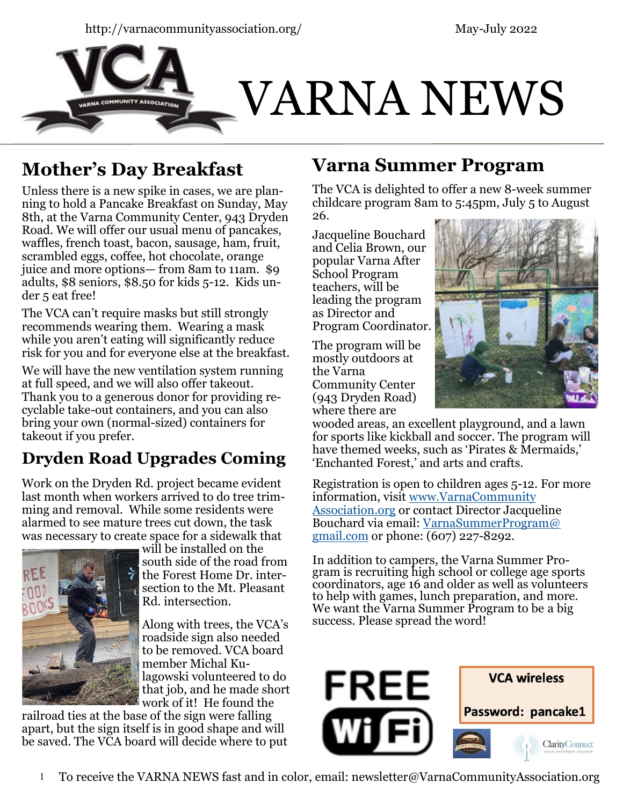



# **Mother's Day Breakfast**

Unless there is a new spike in cases, we are planning to hold a Pancake Breakfast on Sunday, May 8th, at the Varna Community Center, 943 Dryden Road. We will offer our usual menu of pancakes, waffles, french toast, bacon, sausage, ham, fruit, scrambled eggs, coffee, hot chocolate, orange juice and more options— from 8am to 11am. \$9 adults, \$8 seniors, \$8.50 for kids 5-12. Kids under 5 eat free!

The VCA can't require masks but still strongly recommends wearing them. Wearing a mask while you aren't eating will significantly reduce risk for you and for everyone else at the breakfast.

We will have the new ventilation system running at full speed, and we will also offer takeout. Thank you to a generous donor for providing recyclable take-out containers, and you can also bring your own (normal-sized) containers for takeout if you prefer.

## **Dryden Road Upgrades Coming**

Work on the Dryden Rd. project became evident last month when workers arrived to do tree trimming and removal. While some residents were alarmed to see mature trees cut down, the task was necessary to create space for a sidewalk that



will be installed on the south side of the road from the Forest Home Dr. intersection to the Mt. Pleasant Rd. intersection.

Along with trees, the VCA's roadside sign also needed to be removed. VCA board member Michal Kulagowski volunteered to do that job, and he made short work of it! He found the

railroad ties at the base of the sign were falling apart, but the sign itself is in good shape and will be saved. The VCA board will decide where to put

## **Varna Summer Program**

The VCA is delighted to offer a new 8-week summer childcare program 8am to 5:45pm, July 5 to August 26.

Jacqueline Bouchard and Celia Brown, our popular Varna After School Program teachers, will be leading the program as Director and Program Coordinator.

The program will be mostly outdoors at the Varna Community Center (943 Dryden Road) where there are



wooded areas, an excellent playground, and a lawn for sports like kickball and soccer. The program will have themed weeks, such as 'Pirates & Mermaids,' 'Enchanted Forest,' and arts and crafts.

Registration is open to children ages 5-12. For more information, visit [www.VarnaCommunity](https://www.varnacommunityassociation.org/) [Association.org](https://www.varnacommunityassociation.org/) or contact Director Jacqueline Bouchard via email: [VarnaSummerProgram@](mailto:VarnaSummerProgram@gmail.com) [gmail.com](mailto:VarnaSummerProgram@gmail.com) or phone: (607) 227-8292.

In addition to campers, the Varna Summer Program is recruiting high school or college age sports coordinators, age 16 and older as well as volunteers to help with games, lunch preparation, and more. We want the Varna Summer Program to be a big success. Please spread the word!

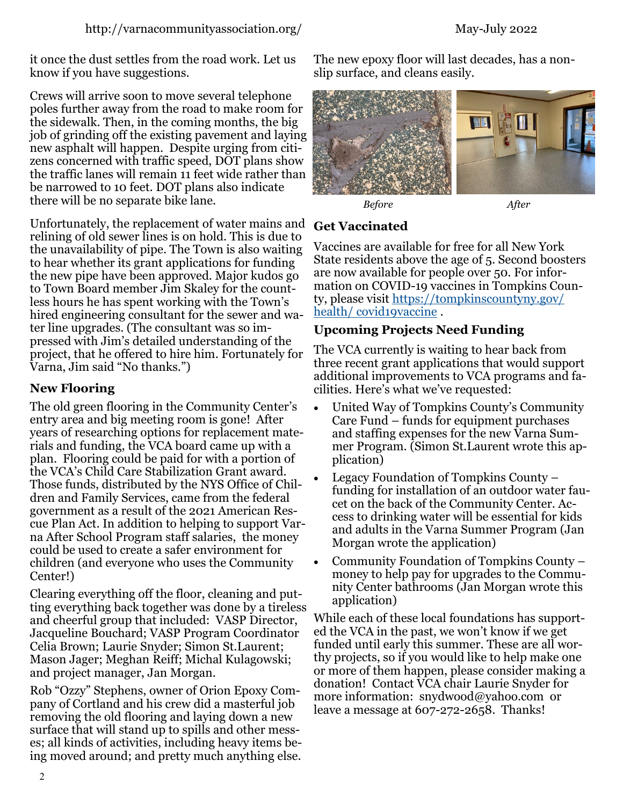it once the dust settles from the road work. Let us know if you have suggestions.

Crews will arrive soon to move several telephone poles further away from the road to make room for the sidewalk. Then, in the coming months, the big job of grinding off the existing pavement and laying new asphalt will happen. Despite urging from citizens concerned with traffic speed, DOT plans show the traffic lanes will remain 11 feet wide rather than be narrowed to 10 feet. DOT plans also indicate there will be no separate bike lane.

Unfortunately, the replacement of water mains and relining of old sewer lines is on hold. This is due to the unavailability of pipe. The Town is also waiting to hear whether its grant applications for funding the new pipe have been approved. Major kudos go to Town Board member Jim Skaley for the countless hours he has spent working with the Town's hired engineering consultant for the sewer and water line upgrades. (The consultant was so impressed with Jim's detailed understanding of the project, that he offered to hire him. Fortunately for Varna, Jim said "No thanks.")

#### **New Flooring**

The old green flooring in the Community Center's entry area and big meeting room is gone! After years of researching options for replacement materials and funding, the VCA board came up with a plan. Flooring could be paid for with a portion of the VCA's Child Care Stabilization Grant award. Those funds, distributed by the NYS Office of Children and Family Services, came from the federal government as a result of the 2021 American Rescue Plan Act. In addition to helping to support Varna After School Program staff salaries, the money could be used to create a safer environment for children (and everyone who uses the Community Center!)

Clearing everything off the floor, cleaning and putting everything back together was done by a tireless and cheerful group that included: VASP Director, Jacqueline Bouchard; VASP Program Coordinator Celia Brown; Laurie Snyder; Simon St.Laurent; Mason Jager; Meghan Reiff; Michal Kulagowski; and project manager, Jan Morgan.

Rob "Ozzy" Stephens, owner of Orion Epoxy Company of Cortland and his crew did a masterful job removing the old flooring and laying down a new surface that will stand up to spills and other messes; all kinds of activities, including heavy items being moved around; and pretty much anything else. The new epoxy floor will last decades, has a nonslip surface, and cleans easily.





#### **Get Vaccinated**

Vaccines are available for free for all New York State residents above the age of 5. Second boosters are now available for people over 50. For information on COVID-19 vaccines in Tompkins County, please visit [https://tompkinscountyny.gov/](https://tompkinscountyny.gov/health/covid19vaccine) health/covid19vaccine.

#### **Upcoming Projects Need Funding**

The VCA currently is waiting to hear back from three recent grant applications that would support additional improvements to VCA programs and facilities. Here's what we've requested:

- United Way of Tompkins County's Community Care Fund – funds for equipment purchases and staffing expenses for the new Varna Summer Program. (Simon St.Laurent wrote this application)
- Legacy Foundation of Tompkins County funding for installation of an outdoor water faucet on the back of the Community Center. Access to drinking water will be essential for kids and adults in the Varna Summer Program (Jan Morgan wrote the application)
- Community Foundation of Tompkins County money to help pay for upgrades to the Community Center bathrooms (Jan Morgan wrote this application)

While each of these local foundations has supported the VCA in the past, we won't know if we get funded until early this summer. These are all worthy projects, so if you would like to help make one or more of them happen, please consider making a donation! Contact VCA chair Laurie Snyder for more information: snydwood@yahoo.com or leave a message at  $607-272-2658$ . Thanks!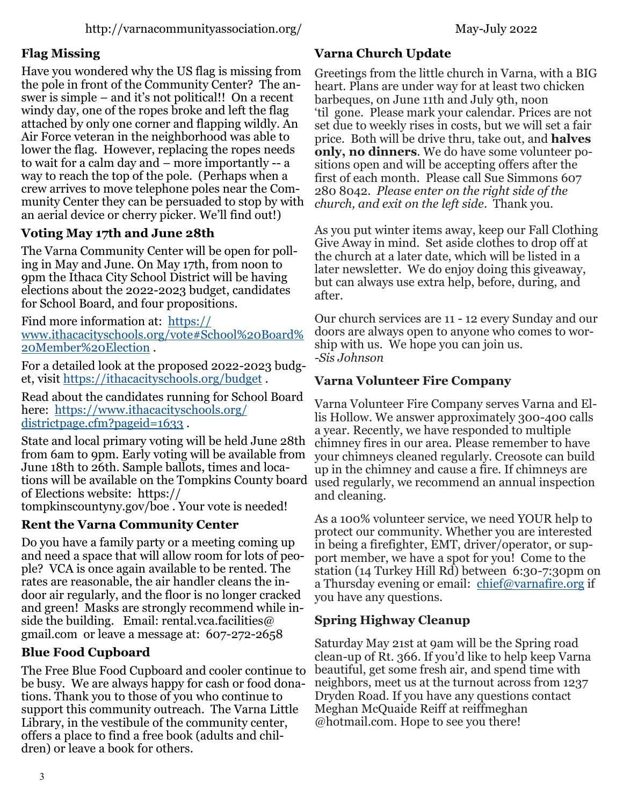#### **Flag Missing**

Have you wondered why the US flag is missing from the pole in front of the Community Center? The answer is simple – and it's not political!! On a recent windy day, one of the ropes broke and left the flag attached by only one corner and flapping wildly. An Air Force veteran in the neighborhood was able to lower the flag. However, replacing the ropes needs to wait for a calm day and – more importantly -- a way to reach the top of the pole. (Perhaps when a crew arrives to move telephone poles near the Community Center they can be persuaded to stop by with an aerial device or cherry picker. We'll find out!)

#### **Voting May 17th and June 28th**

The Varna Community Center will be open for polling in May and June. On May 17th, from noon to 9pm the Ithaca City School District will be having elections about the 2022-2023 budget, candidates for School Board, and four propositions.

Find more information at: [https://](https://www.ithacacityschools.org/vote#School%20Board%20Member%20Election) [www.ithacacityschools.org/vote#School%20Board%](https://www.ithacacityschools.org/vote#School%20Board%20Member%20Election) [20Member%20Election](https://www.ithacacityschools.org/vote#School%20Board%20Member%20Election) .

For a detailed look at the proposed 2022-2023 budget, visit <https://ithacacityschools.org/budget> .

Read about the candidates running for School Board here: [https://www.ithacacityschools.org/](https://www.ithacacityschools.org/districtpage.cfm?pageid=1633) [districtpage.cfm?pageid=1633](https://www.ithacacityschools.org/districtpage.cfm?pageid=1633) .

State and local primary voting will be held June 28th from 6am to 9pm. Early voting will be available from June 18th to 26th. Sample ballots, times and locations will be available on the Tompkins County board of Elections website: https:// tompkinscountyny.gov/boe . Your vote is needed!

#### **Rent the Varna Community Center**

Do you have a family party or a meeting coming up and need a space that will allow room for lots of people? VCA is once again available to be rented. The rates are reasonable, the air handler cleans the indoor air regularly, and the floor is no longer cracked and green! Masks are strongly recommend while inside the building. Email: rental.vca.facilities  $\omega$ gmail.com or leave a message at: 607-272-2658

#### **Blue Food Cupboard**

The Free Blue Food Cupboard and cooler continue to be busy. We are always happy for cash or food donations. Thank you to those of you who continue to support this community outreach. The Varna Little Library, in the vestibule of the community center, offers a place to find a free book (adults and children) or leave a book for others.

#### **Varna Church Update**

Greetings from the little church in Varna, with a BIG heart. Plans are under way for at least two chicken barbeques, on June 11th and July 9th, noon 'til gone. Please mark your calendar. Prices are not set due to weekly rises in costs, but we will set a fair price. Both will be drive thru, take out, and **halves only, no dinners**. We do have some volunteer positions open and will be accepting offers after the first of each month. Please call Sue Simmons 607 280 8042. *Please enter on the right side of the church, and exit on the left side*. Thank you.

As you put winter items away, keep our Fall Clothing Give Away in mind. Set aside clothes to drop off at the church at a later date, which will be listed in a later newsletter. We do enjoy doing this giveaway, but can always use extra help, before, during, and after.

Our church services are 11 - 12 every Sunday and our doors are always open to anyone who comes to worship with us. We hope you can join us. -*Sis Johnson*

#### **Varna Volunteer Fire Company**

Varna Volunteer Fire Company serves Varna and Ellis Hollow. We answer approximately 300-400 calls a year. Recently, we have responded to multiple chimney fires in our area. Please remember to have your chimneys cleaned regularly. Creosote can build up in the chimney and cause a fire. If chimneys are used regularly, we recommend an annual inspection and cleaning.

As a 100% volunteer service, we need YOUR help to protect our community. Whether you are interested in being a firefighter, EMT, driver/operator, or support member, we have a spot for you! Come to the station (14 Turkey Hill Rd) between 6:30-7:30pm on a Thursday evening or email: [chief@varnafire.org](mailto:chief@varnafire.org) if you have any questions.

#### **Spring Highway Cleanup**

Saturday May 21st at 9am will be the Spring road clean-up of Rt. 366. If you'd like to help keep Varna beautiful, get some fresh air, and spend time with neighbors, meet us at the turnout across from 1237 Dryden Road. If you have any questions contact Meghan McQuaide Reiff at reiffmeghan @hotmail.com. Hope to see you there!